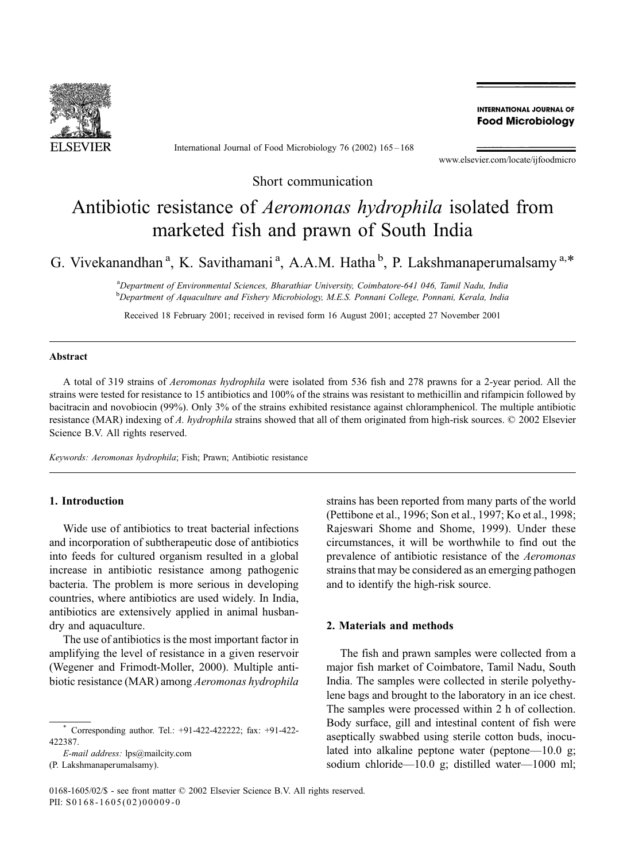

International Journal of Food Microbiology 76 (2002) 165 – 168

**INTERNATIONAL JOURNAL OF Food Microbiology** 

www.elsevier.com/locate/ijfoodmicro

Short communication

# Antibiotic resistance of Aeromonas hydrophila isolated from marketed fish and prawn of South India

G. Vivekanandhan<sup>a</sup>, K. Savithamani<sup>a</sup>, A.A.M. Hatha<sup>b</sup>, P. Lakshmanaperumalsamy<sup>a,\*</sup>

a<br>Department of Environmental Sciences, Bharathiar University, Coimbatore-641 046, Tamil Nadu, India <sup>b</sup>Department of Aquaculture and Fishery Microbiology, M.E.S. Ponnani College, Ponnani, Kerala, India

Received 18 February 2001; received in revised form 16 August 2001; accepted 27 November 2001

### Abstract

A total of 319 strains of Aeromonas hydrophila were isolated from 536 fish and 278 prawns for a 2-year period. All the strains were tested for resistance to 15 antibiotics and 100% of the strains was resistant to methicillin and rifampicin followed by bacitracin and novobiocin (99%). Only 3% of the strains exhibited resistance against chloramphenicol. The multiple antibiotic resistance (MAR) indexing of A. hydrophila strains showed that all of them originated from high-risk sources. © 2002 Elsevier Science B.V. All rights reserved.

Keywords: Aeromonas hydrophila; Fish; Prawn; Antibiotic resistance

## 1. Introduction

Wide use of antibiotics to treat bacterial infections and incorporation of subtherapeutic dose of antibiotics into feeds for cultured organism resulted in a global increase in antibiotic resistance among pathogenic bacteria. The problem is more serious in developing countries, where antibiotics are used widely. In India, antibiotics are extensively applied in animal husbandry and aquaculture.

The use of antibiotics is the most important factor in amplifying the level of resistance in a given reservoir (Wegener and Frimodt-Moller, 2000). Multiple antibiotic resistance (MAR) among Aeromonas hydrophila

(P. Lakshmanaperumalsamy).

strains has been reported from many parts of the world (Pettibone et al., 1996; Son et al., 1997; Ko et al., 1998; Rajeswari Shome and Shome, 1999). Under these circumstances, it will be worthwhile to find out the prevalence of antibiotic resistance of the Aeromonas strains that may be considered as an emerging pathogen and to identify the high-risk source.

#### 2. Materials and methods

The fish and prawn samples were collected from a major fish market of Coimbatore, Tamil Nadu, South India. The samples were collected in sterile polyethylene bags and brought to the laboratory in an ice chest. The samples were processed within 2 h of collection. Body surface, gill and intestinal content of fish were aseptically swabbed using sterile cotton buds, inoculated into alkaline peptone water (peptone—10.0 g; sodium chloride—10.0 g; distilled water—1000 ml;

Corresponding author. Tel.: +91-422-4222222; fax: +91-422-422387.

E-mail address: lps@mailcity.com

<sup>0168-1605/02/\$ -</sup> see front matter © 2002 Elsevier Science B.V. All rights reserved. PII: S0168-1605(02)00009-0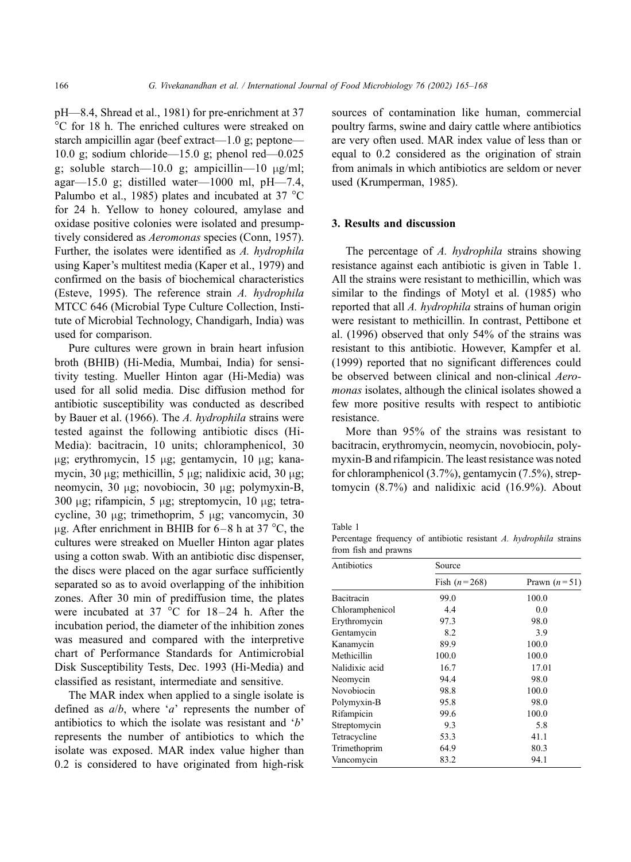pH—8.4, Shread et al., 1981) for pre-enrichment at 37 C for 18 h. The enriched cultures were streaked on starch ampicillin agar (beef extract—1.0 g; peptone— 10.0 g; sodium chloride—15.0 g; phenol red—0.025 g; soluble starch—10.0 g; ampicillin—10  $\mu$ g/ml; agar—15.0 g; distilled water—1000 ml, pH—7.4, Palumbo et al., 1985) plates and incubated at 37  $^{\circ}$ C for 24 h. Yellow to honey coloured, amylase and oxidase positive colonies were isolated and presumptively considered as Aeromonas species (Conn, 1957). Further, the isolates were identified as A. hydrophila using Kaper's multitest media (Kaper et al., 1979) and confirmed on the basis of biochemical characteristics (Esteve, 1995). The reference strain A. hydrophila MTCC 646 (Microbial Type Culture Collection, Institute of Microbial Technology, Chandigarh, India) was used for comparison.

Pure cultures were grown in brain heart infusion broth (BHIB) (Hi-Media, Mumbai, India) for sensitivity testing. Mueller Hinton agar (Hi-Media) was used for all solid media. Disc diffusion method for antibiotic susceptibility was conducted as described by Bauer et al. (1966). The A. hydrophila strains were tested against the following antibiotic discs (Hi-Media): bacitracin, 10 units; chloramphenicol, 30  $\mu$ g; erythromycin, 15  $\mu$ g; gentamycin, 10  $\mu$ g; kanamycin, 30  $\mu$ g; methicillin, 5  $\mu$ g; nalidixic acid, 30  $\mu$ g; neomycin, 30 µg; novobiocin, 30 µg; polymyxin-B, 300  $\mu$ g; rifampicin, 5  $\mu$ g; streptomycin, 10  $\mu$ g; tetracycline,  $30 \mu$ g; trimethoprim,  $5 \mu$ g; vancomycin,  $30 \mu$  $\mu$ g. After enrichment in BHIB for 6–8 h at 37 °C, the cultures were streaked on Mueller Hinton agar plates using a cotton swab. With an antibiotic disc dispenser, the discs were placed on the agar surface sufficiently separated so as to avoid overlapping of the inhibition zones. After 30 min of prediffusion time, the plates were incubated at 37  $^{\circ}$ C for 18-24 h. After the incubation period, the diameter of the inhibition zones was measured and compared with the interpretive chart of Performance Standards for Antimicrobial Disk Susceptibility Tests, Dec. 1993 (Hi-Media) and classified as resistant, intermediate and sensitive.

The MAR index when applied to a single isolate is defined as  $a/b$ , where 'a' represents the number of antibiotics to which the isolate was resistant and 'b' represents the number of antibiotics to which the isolate was exposed. MAR index value higher than 0.2 is considered to have originated from high-risk sources of contamination like human, commercial poultry farms, swine and dairy cattle where antibiotics are very often used. MAR index value of less than or equal to 0.2 considered as the origination of strain from animals in which antibiotics are seldom or never used (Krumperman, 1985).

#### 3. Results and discussion

The percentage of A. hydrophila strains showing resistance against each antibiotic is given in Table 1. All the strains were resistant to methicillin, which was similar to the findings of Motyl et al. (1985) who reported that all A. hydrophila strains of human origin were resistant to methicillin. In contrast, Pettibone et al. (1996) observed that only 54% of the strains was resistant to this antibiotic. However, Kampfer et al. (1999) reported that no significant differences could be observed between clinical and non-clinical Aeromonas isolates, although the clinical isolates showed a few more positive results with respect to antibiotic resistance.

More than 95% of the strains was resistant to bacitracin, erythromycin, neomycin, novobiocin, polymyxin-B and rifampicin. The least resistance was noted for chloramphenicol (3.7%), gentamycin (7.5%), streptomycin (8.7%) and nalidixic acid (16.9%). About

Table 1

Percentage frequency of antibiotic resistant A. hydrophila strains from fish and prawns

| Antibiotics     | Source           |                |
|-----------------|------------------|----------------|
|                 | Fish $(n = 268)$ | Prawn $(n=51)$ |
| Bacitracin      | 99.0             | 100.0          |
| Chloramphenicol | 4.4              | 0.0            |
| Erythromycin    | 97.3             | 98.0           |
| Gentamycin      | 8.2              | 3.9            |
| Kanamycin       | 89.9             | 100.0          |
| Methicillin     | 100.0            | 100.0          |
| Nalidixic acid  | 16.7             | 17.01          |
| Neomycin        | 94.4             | 98.0           |
| Novobiocin      | 98.8             | 100.0          |
| Polymyxin-B     | 95.8             | 98.0           |
| Rifampicin      | 99.6             | 100.0          |
| Streptomycin    | 9.3              | 5.8            |
| Tetracycline    | 53.3             | 41.1           |
| Trimethoprim    | 64.9             | 80.3           |
| Vancomycin      | 83.2             | 94.1           |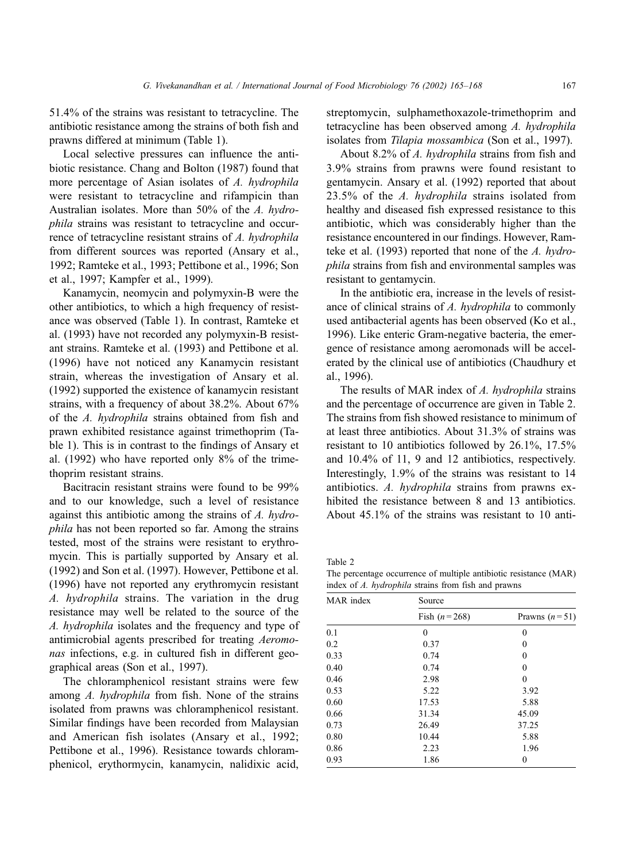51.4% of the strains was resistant to tetracycline. The antibiotic resistance among the strains of both fish and prawns differed at minimum (Table 1).

Local selective pressures can influence the antibiotic resistance. Chang and Bolton (1987) found that more percentage of Asian isolates of A. hydrophila were resistant to tetracycline and rifampicin than Australian isolates. More than 50% of the A. hydrophila strains was resistant to tetracycline and occurrence of tetracycline resistant strains of A. hydrophila from different sources was reported (Ansary et al., 1992; Ramteke et al., 1993; Pettibone et al., 1996; Son et al., 1997; Kampfer et al., 1999).

Kanamycin, neomycin and polymyxin-B were the other antibiotics, to which a high frequency of resistance was observed (Table 1). In contrast, Ramteke et al. (1993) have not recorded any polymyxin-B resistant strains. Ramteke et al. (1993) and Pettibone et al. (1996) have not noticed any Kanamycin resistant strain, whereas the investigation of Ansary et al. (1992) supported the existence of kanamycin resistant strains, with a frequency of about 38.2%. About 67% of the A. hydrophila strains obtained from fish and prawn exhibited resistance against trimethoprim (Table 1). This is in contrast to the findings of Ansary et al. (1992) who have reported only 8% of the trimethoprim resistant strains.

Bacitracin resistant strains were found to be 99% and to our knowledge, such a level of resistance against this antibiotic among the strains of A. hydrophila has not been reported so far. Among the strains tested, most of the strains were resistant to erythromycin. This is partially supported by Ansary et al. (1992) and Son et al. (1997). However, Pettibone et al. (1996) have not reported any erythromycin resistant A. hydrophila strains. The variation in the drug resistance may well be related to the source of the A. hydrophila isolates and the frequency and type of antimicrobial agents prescribed for treating Aeromonas infections, e.g. in cultured fish in different geographical areas (Son et al., 1997).

The chloramphenicol resistant strains were few among A. hydrophila from fish. None of the strains isolated from prawns was chloramphenicol resistant. Similar findings have been recorded from Malaysian and American fish isolates (Ansary et al., 1992; Pettibone et al., 1996). Resistance towards chloramphenicol, erythormycin, kanamycin, nalidixic acid,

streptomycin, sulphamethoxazole-trimethoprim and tetracycline has been observed among A. hydrophila isolates from Tilapia mossambica (Son et al., 1997).

About 8.2% of A. hydrophila strains from fish and 3.9% strains from prawns were found resistant to gentamycin. Ansary et al. (1992) reported that about 23.5% of the A. hydrophila strains isolated from healthy and diseased fish expressed resistance to this antibiotic, which was considerably higher than the resistance encountered in our findings. However, Ramteke et al. (1993) reported that none of the A. hydrophila strains from fish and environmental samples was resistant to gentamycin.

In the antibiotic era, increase in the levels of resistance of clinical strains of A. hydrophila to commonly used antibacterial agents has been observed (Ko et al., 1996). Like enteric Gram-negative bacteria, the emergence of resistance among aeromonads will be accelerated by the clinical use of antibiotics (Chaudhury et al., 1996).

The results of MAR index of A. hydrophila strains and the percentage of occurrence are given in Table 2. The strains from fish showed resistance to minimum of at least three antibiotics. About 31.3% of strains was resistant to 10 antibiotics followed by 26.1%, 17.5% and 10.4% of 11, 9 and 12 antibiotics, respectively. Interestingly, 1.9% of the strains was resistant to 14 antibiotics. A. hydrophila strains from prawns exhibited the resistance between 8 and 13 antibiotics. About 45.1% of the strains was resistant to 10 anti-

Table 2

The percentage occurrence of multiple antibiotic resistance (MAR) index of A. hydrophila strains from fish and prawns

| MAR index | Source           |                 |
|-----------|------------------|-----------------|
|           | Fish $(n = 268)$ | Prawns $(n=51)$ |
| 0.1       | $\Omega$         | $\Omega$        |
| 0.2       | 0.37             | $\theta$        |
| 0.33      | 0.74             | $\theta$        |
| 0.40      | 0.74             | $\theta$        |
| 0.46      | 2.98             | $\theta$        |
| 0.53      | 5.22             | 3.92            |
| 0.60      | 17.53            | 5.88            |
| 0.66      | 31.34            | 45.09           |
| 0.73      | 26.49            | 37.25           |
| 0.80      | 10.44            | 5.88            |
| 0.86      | 2.23             | 1.96            |
| 0.93      | 1.86             | $\theta$        |